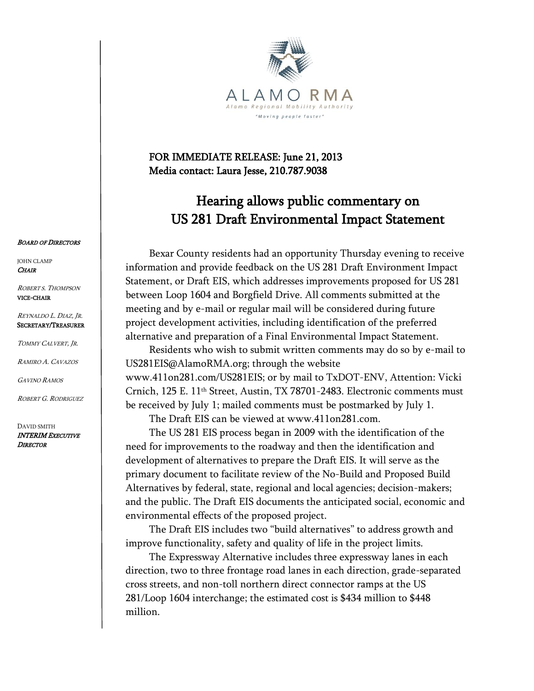

## FOR IMMEDIATE RELEASE: June 21, 2013 Media contact: Laura Jesse, 210.787.9038

## Hearing allows public commentary on US 281 Draft Environmental Impact Statement

Bexar County residents had an opportunity Thursday evening to receive information and provide feedback on the US 281 Draft Environment Impact Statement, or Draft EIS, which addresses improvements proposed for US 281 between Loop 1604 and Borgfield Drive. All comments submitted at the meeting and by e-mail or regular mail will be considered during future project development activities, including identification of the preferred alternative and preparation of a Final Environmental Impact Statement.

Residents who wish to submit written comments may do so by e-mail to US281EIS@AlamoRMA.org; through the website www.411on281.com/US281EIS; or by mail to TxDOT-ENV, Attention: Vicki Crnich, 125 E. 11th Street, Austin, TX 78701-2483. Electronic comments must be received by July 1; mailed comments must be postmarked by July 1.

The Draft EIS can be viewed at www.411on281.com.

The US 281 EIS process began in 2009 with the identification of the need for improvements to the roadway and then the identification and development of alternatives to prepare the Draft EIS. It will serve as the primary document to facilitate review of the No-Build and Proposed Build Alternatives by federal, state, regional and local agencies; decision-makers; and the public. The Draft EIS documents the anticipated social, economic and environmental effects of the proposed project.

The Draft EIS includes two "build alternatives" to address growth and improve functionality, safety and quality of life in the project limits.

The Expressway Alternative includes three expressway lanes in each direction, two to three frontage road lanes in each direction, grade-separated cross streets, and non-toll northern direct connector ramps at the US 281/Loop 1604 interchange; the estimated cost is \$434 million to \$448 million.

## **BOARD OF DIRECTORS**

JOHN CLAMP **CHAIR** 

ROBERT S. THOMPSON VICE-CHAIR

REYNALDO L. DIAZ, J<sup>R</sup>. SECRETARY/TREASURER

TOMMY CALVERT, J<sup>R</sup>.

RAMIRO A. CAVAZOS

GAVINO RAMOS

ROBERT G. RODRIGUEZ

DAVID SMITH INTERIM EXECUTIVE **DIRECTOR**